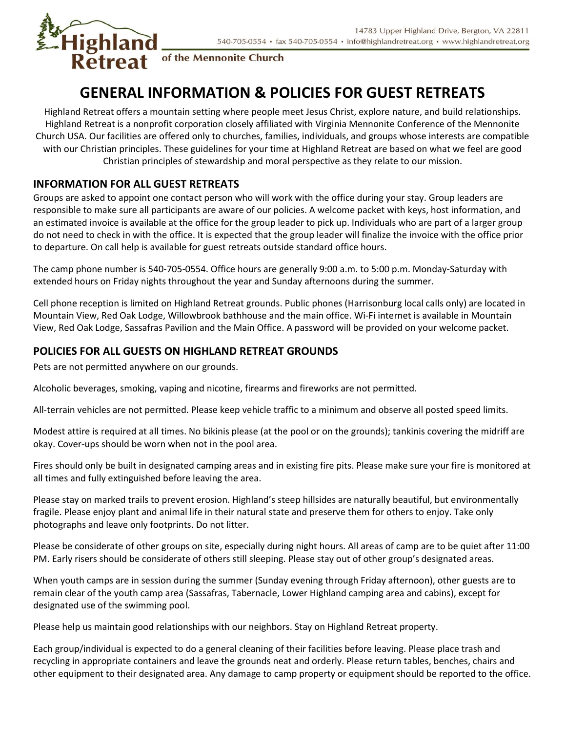

of the Mennonite Church

# GENERAL INFORMATION & POLICIES FOR GUEST RETREATS

Highland Retreat offers a mountain setting where people meet Jesus Christ, explore nature, and build relationships. Highland Retreat is a nonprofit corporation closely affiliated with Virginia Mennonite Conference of the Mennonite Church USA. Our facilities are offered only to churches, families, individuals, and groups whose interests are compatible with our Christian principles. These guidelines for your time at Highland Retreat are based on what we feel are good Christian principles of stewardship and moral perspective as they relate to our mission.

## INFORMATION FOR ALL GUEST RETREATS

Groups are asked to appoint one contact person who will work with the office during your stay. Group leaders are responsible to make sure all participants are aware of our policies. A welcome packet with keys, host information, and an estimated invoice is available at the office for the group leader to pick up. Individuals who are part of a larger group do not need to check in with the office. It is expected that the group leader will finalize the invoice with the office prior to departure. On call help is available for guest retreats outside standard office hours.

The camp phone number is 540-705-0554. Office hours are generally 9:00 a.m. to 5:00 p.m. Monday-Saturday with extended hours on Friday nights throughout the year and Sunday afternoons during the summer.

Cell phone reception is limited on Highland Retreat grounds. Public phones (Harrisonburg local calls only) are located in Mountain View, Red Oak Lodge, Willowbrook bathhouse and the main office. Wi-Fi internet is available in Mountain View, Red Oak Lodge, Sassafras Pavilion and the Main Office. A password will be provided on your welcome packet.

## POLICIES FOR ALL GUESTS ON HIGHLAND RETREAT GROUNDS

Pets are not permitted anywhere on our grounds.

Alcoholic beverages, smoking, vaping and nicotine, firearms and fireworks are not permitted.

All-terrain vehicles are not permitted. Please keep vehicle traffic to a minimum and observe all posted speed limits.

Modest attire is required at all times. No bikinis please (at the pool or on the grounds); tankinis covering the midriff are okay. Cover-ups should be worn when not in the pool area.

Fires should only be built in designated camping areas and in existing fire pits. Please make sure your fire is monitored at all times and fully extinguished before leaving the area.

Please stay on marked trails to prevent erosion. Highland's steep hillsides are naturally beautiful, but environmentally fragile. Please enjoy plant and animal life in their natural state and preserve them for others to enjoy. Take only photographs and leave only footprints. Do not litter.

Please be considerate of other groups on site, especially during night hours. All areas of camp are to be quiet after 11:00 PM. Early risers should be considerate of others still sleeping. Please stay out of other group's designated areas.

When youth camps are in session during the summer (Sunday evening through Friday afternoon), other guests are to remain clear of the youth camp area (Sassafras, Tabernacle, Lower Highland camping area and cabins), except for designated use of the swimming pool.

Please help us maintain good relationships with our neighbors. Stay on Highland Retreat property.

Each group/individual is expected to do a general cleaning of their facilities before leaving. Please place trash and recycling in appropriate containers and leave the grounds neat and orderly. Please return tables, benches, chairs and other equipment to their designated area. Any damage to camp property or equipment should be reported to the office.